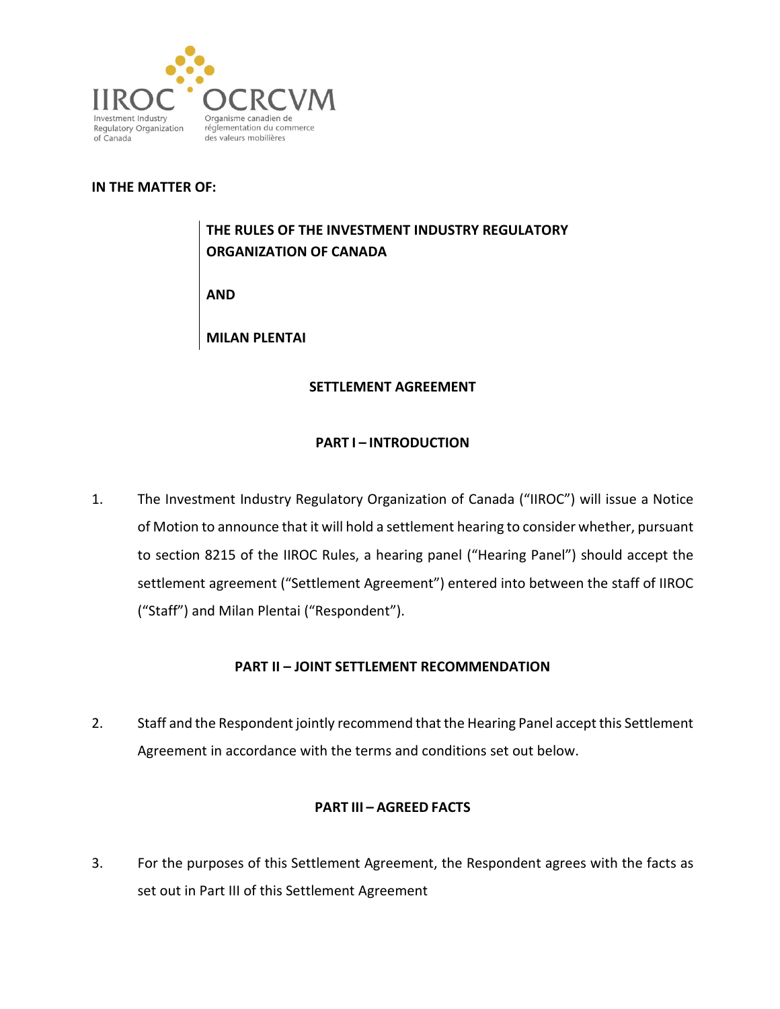

### **IN THE MATTER OF:**

# **THE RULES OF THE INVESTMENT INDUSTRY REGULATORY ORGANIZATION OF CANADA**

**AND**

**MILAN PLENTAI**

### **SETTLEMENT AGREEMENT**

### **PART I – INTRODUCTION**

1. The Investment Industry Regulatory Organization of Canada ("IIROC") will issue a Notice of Motion to announce that it will hold a settlement hearing to consider whether, pursuant to section 8215 of the IIROC Rules, a hearing panel ("Hearing Panel") should accept the settlement agreement ("Settlement Agreement") entered into between the staff of IIROC ("Staff") and Milan Plentai ("Respondent").

# **PART II – JOINT SETTLEMENT RECOMMENDATION**

2. Staff and the Respondent jointly recommend that the Hearing Panel accept this Settlement Agreement in accordance with the terms and conditions set out below.

### **PART III – AGREED FACTS**

3. For the purposes of this Settlement Agreement, the Respondent agrees with the facts as set out in Part III of this Settlement Agreement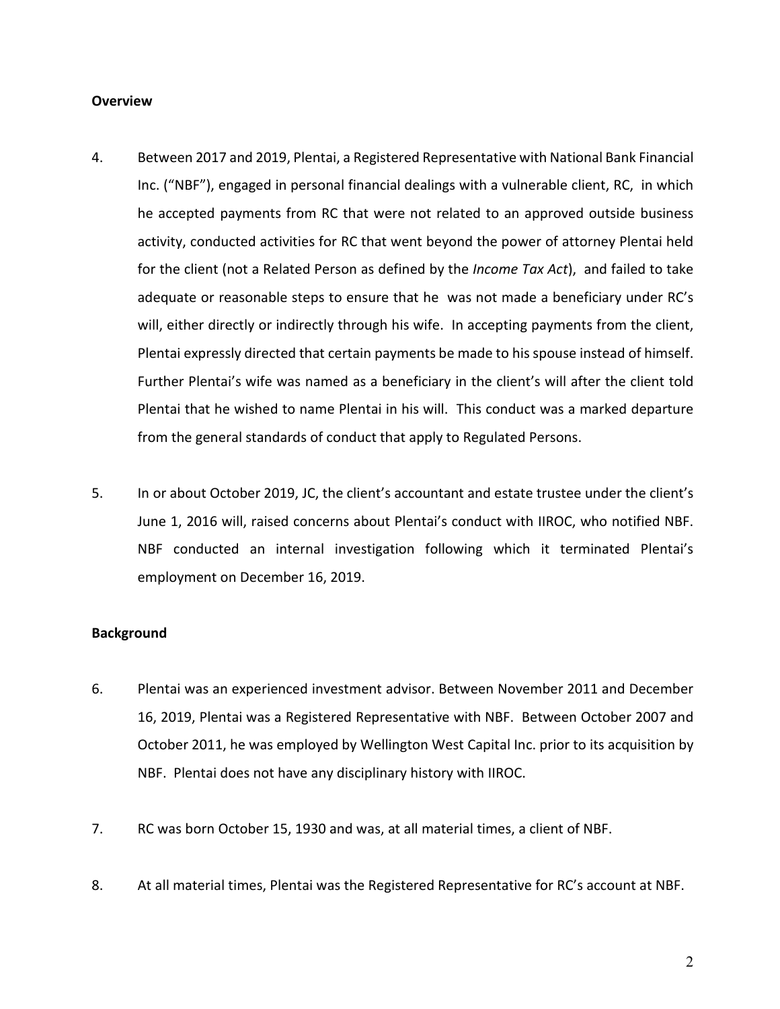### **Overview**

- 4. Between 2017 and 2019, Plentai, a Registered Representative with National Bank Financial Inc. ("NBF"), engaged in personal financial dealings with a vulnerable client, RC, in which he accepted payments from RC that were not related to an approved outside business activity, conducted activities for RC that went beyond the power of attorney Plentai held for the client (not a Related Person as defined by the *Income Tax Act*), and failed to take adequate or reasonable steps to ensure that he was not made a beneficiary under RC's will, either directly or indirectly through his wife. In accepting payments from the client, Plentai expressly directed that certain payments be made to his spouse instead of himself. Further Plentai's wife was named as a beneficiary in the client's will after the client told Plentai that he wished to name Plentai in his will. This conduct was a marked departure from the general standards of conduct that apply to Regulated Persons.
- 5. In or about October 2019, JC, the client's accountant and estate trustee under the client's June 1, 2016 will, raised concerns about Plentai's conduct with IIROC, who notified NBF. NBF conducted an internal investigation following which it terminated Plentai's employment on December 16, 2019.

#### **Background**

- 6. Plentai was an experienced investment advisor. Between November 2011 and December 16, 2019, Plentai was a Registered Representative with NBF. Between October 2007 and October 2011, he was employed by Wellington West Capital Inc. prior to its acquisition by NBF. Plentai does not have any disciplinary history with IIROC.
- 7. RC was born October 15, 1930 and was, at all material times, a client of NBF.
- 8. At all material times, Plentai was the Registered Representative for RC's account at NBF.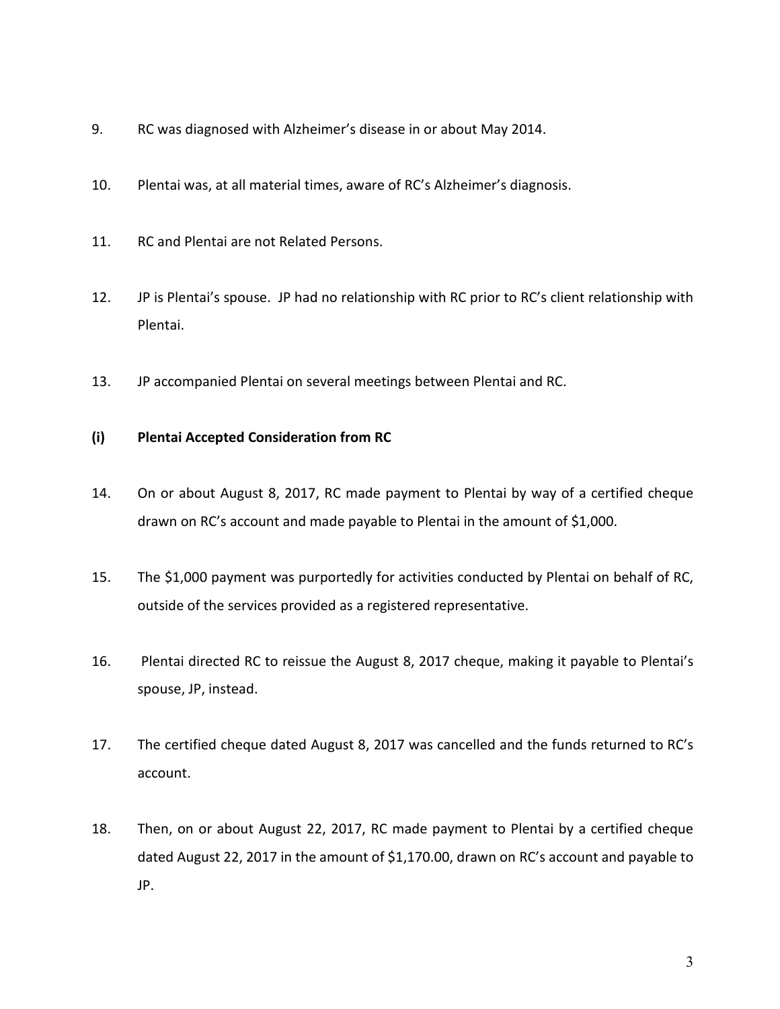- 9. RC was diagnosed with Alzheimer's disease in or about May 2014.
- 10. Plentai was, at all material times, aware of RC's Alzheimer's diagnosis.
- 11. RC and Plentai are not Related Persons.
- 12. JP is Plentai's spouse. JP had no relationship with RC prior to RC's client relationship with Plentai.
- 13. JP accompanied Plentai on several meetings between Plentai and RC.

# **(i) Plentai Accepted Consideration from RC**

- 14. On or about August 8, 2017, RC made payment to Plentai by way of a certified cheque drawn on RC's account and made payable to Plentai in the amount of \$1,000.
- 15. The \$1,000 payment was purportedly for activities conducted by Plentai on behalf of RC, outside of the services provided as a registered representative.
- 16. Plentai directed RC to reissue the August 8, 2017 cheque, making it payable to Plentai's spouse, JP, instead.
- 17. The certified cheque dated August 8, 2017 was cancelled and the funds returned to RC's account.
- 18. Then, on or about August 22, 2017, RC made payment to Plentai by a certified cheque dated August 22, 2017 in the amount of \$1,170.00, drawn on RC's account and payable to JP.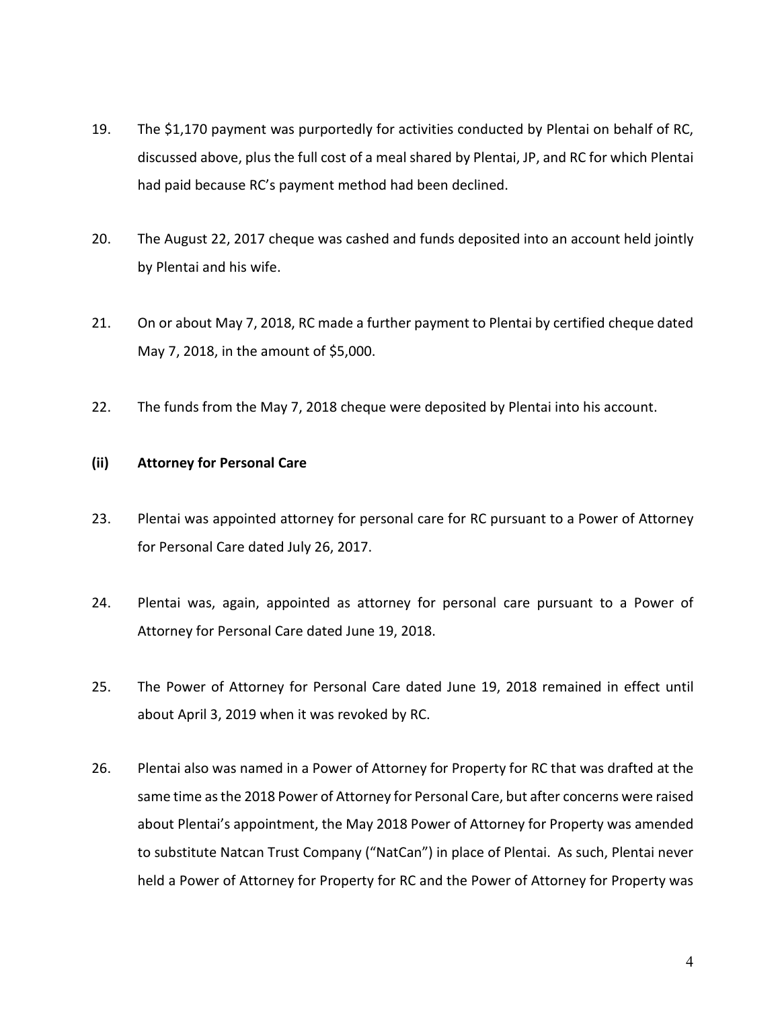- 19. The \$1,170 payment was purportedly for activities conducted by Plentai on behalf of RC, discussed above, plus the full cost of a meal shared by Plentai, JP, and RC for which Plentai had paid because RC's payment method had been declined.
- 20. The August 22, 2017 cheque was cashed and funds deposited into an account held jointly by Plentai and his wife.
- 21. On or about May 7, 2018, RC made a further payment to Plentai by certified cheque dated May 7, 2018, in the amount of \$5,000.
- 22. The funds from the May 7, 2018 cheque were deposited by Plentai into his account.

# **(ii) Attorney for Personal Care**

- 23. Plentai was appointed attorney for personal care for RC pursuant to a Power of Attorney for Personal Care dated July 26, 2017.
- 24. Plentai was, again, appointed as attorney for personal care pursuant to a Power of Attorney for Personal Care dated June 19, 2018.
- 25. The Power of Attorney for Personal Care dated June 19, 2018 remained in effect until about April 3, 2019 when it was revoked by RC.
- 26. Plentai also was named in a Power of Attorney for Property for RC that was drafted at the same time as the 2018 Power of Attorney for Personal Care, but after concerns were raised about Plentai's appointment, the May 2018 Power of Attorney for Property was amended to substitute Natcan Trust Company ("NatCan") in place of Plentai. As such, Plentai never held a Power of Attorney for Property for RC and the Power of Attorney for Property was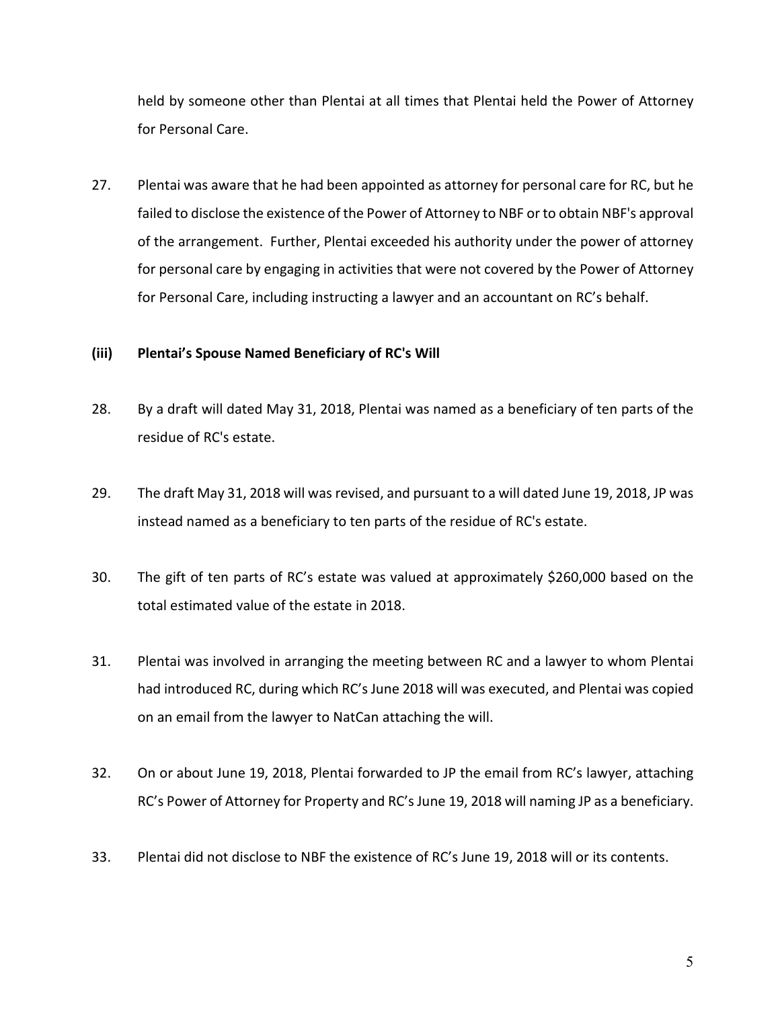held by someone other than Plentai at all times that Plentai held the Power of Attorney for Personal Care.

27. Plentai was aware that he had been appointed as attorney for personal care for RC, but he failed to disclose the existence of the Power of Attorney to NBF or to obtain NBF's approval of the arrangement. Further, Plentai exceeded his authority under the power of attorney for personal care by engaging in activities that were not covered by the Power of Attorney for Personal Care, including instructing a lawyer and an accountant on RC's behalf.

### **(iii) Plentai's Spouse Named Beneficiary of RC's Will**

- 28. By a draft will dated May 31, 2018, Plentai was named as a beneficiary of ten parts of the residue of RC's estate.
- 29. The draft May 31, 2018 will was revised, and pursuant to a will dated June 19, 2018, JP was instead named as a beneficiary to ten parts of the residue of RC's estate.
- 30. The gift of ten parts of RC's estate was valued at approximately \$260,000 based on the total estimated value of the estate in 2018.
- 31. Plentai was involved in arranging the meeting between RC and a lawyer to whom Plentai had introduced RC, during which RC's June 2018 will was executed, and Plentai was copied on an email from the lawyer to NatCan attaching the will.
- 32. On or about June 19, 2018, Plentai forwarded to JP the email from RC's lawyer, attaching RC's Power of Attorney for Property and RC's June 19, 2018 will naming JP as a beneficiary.
- 33. Plentai did not disclose to NBF the existence of RC's June 19, 2018 will or its contents.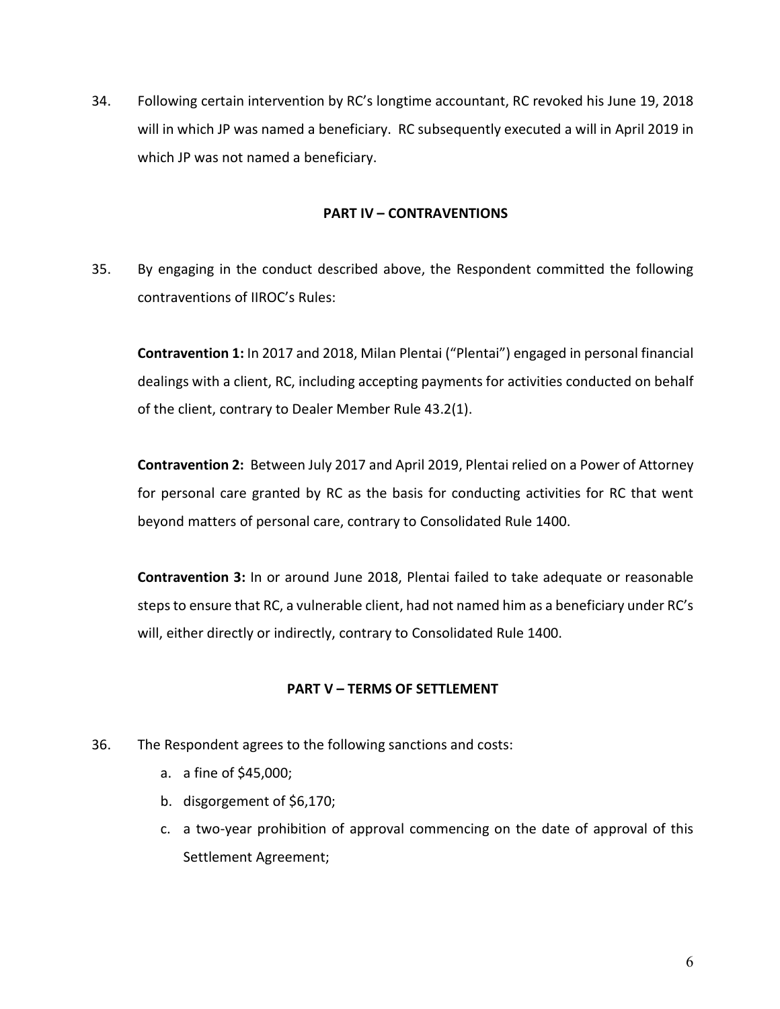34. Following certain intervention by RC's longtime accountant, RC revoked his June 19, 2018 will in which JP was named a beneficiary. RC subsequently executed a will in April 2019 in which JP was not named a beneficiary.

### **PART IV – CONTRAVENTIONS**

35. By engaging in the conduct described above, the Respondent committed the following contraventions of IIROC's Rules:

**Contravention 1:** In 2017 and 2018, Milan Plentai ("Plentai") engaged in personal financial dealings with a client, RC, including accepting payments for activities conducted on behalf of the client, contrary to Dealer Member Rule 43.2(1).

**Contravention 2:** Between July 2017 and April 2019, Plentai relied on a Power of Attorney for personal care granted by RC as the basis for conducting activities for RC that went beyond matters of personal care, contrary to Consolidated Rule 1400.

**Contravention 3:** In or around June 2018, Plentai failed to take adequate or reasonable steps to ensure that RC, a vulnerable client, had not named him as a beneficiary under RC's will, either directly or indirectly, contrary to Consolidated Rule 1400.

# **PART V – TERMS OF SETTLEMENT**

- 36. The Respondent agrees to the following sanctions and costs:
	- a. a fine of \$45,000;
	- b. disgorgement of \$6,170;
	- c. a two-year prohibition of approval commencing on the date of approval of this Settlement Agreement;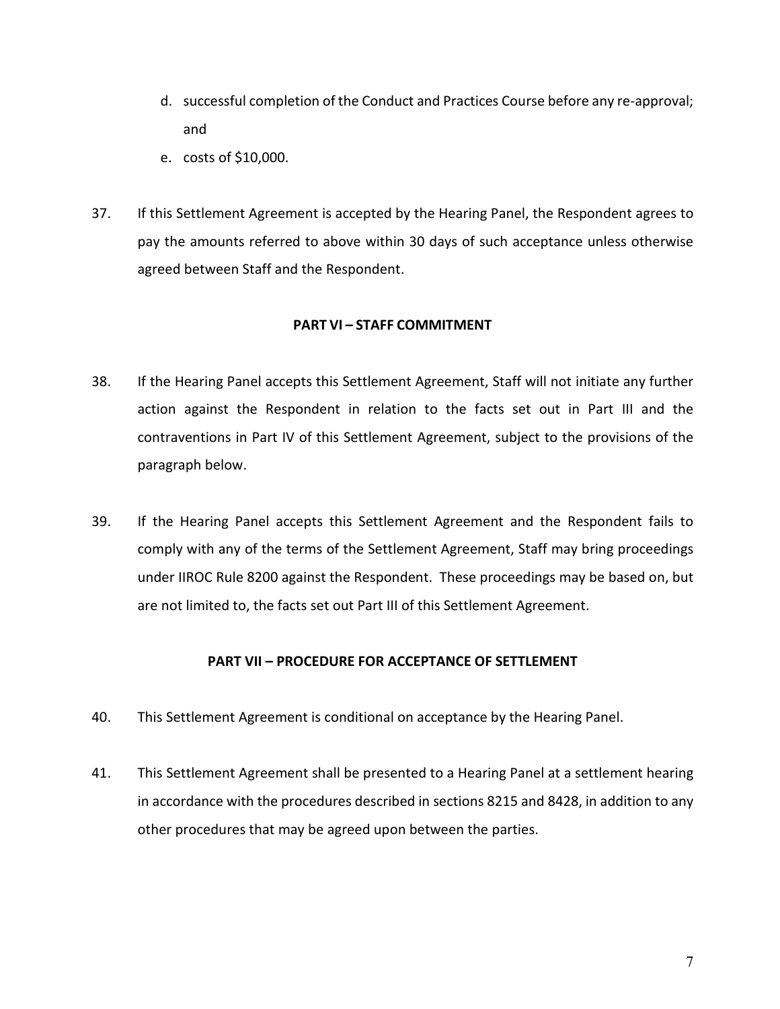- d. successful completion of the Conduct and Practices Course before any re-approval; and
- e. costs of \$10,000.
- 37. If this Settlement Agreement is accepted by the Hearing Panel, the Respondent agrees to pay the amounts referred to above within 30 days of such acceptance unless otherwise agreed between Staff and the Respondent.

# **PART VI – STAFF COMMITMENT**

- 38. If the Hearing Panel accepts this Settlement Agreement, Staff will not initiate any further action against the Respondent in relation to the facts set out in Part III and the contraventions in Part IV of this Settlement Agreement, subject to the provisions of the paragraph below.
- 39. If the Hearing Panel accepts this Settlement Agreement and the Respondent fails to comply with any of the terms of the Settlement Agreement, Staff may bring proceedings under IIROC Rule 8200 against the Respondent. These proceedings may be based on, but are not limited to, the facts set out Part III of this Settlement Agreement.

# **PART VII – PROCEDURE FOR ACCEPTANCE OF SETTLEMENT**

- 40. This Settlement Agreement is conditional on acceptance by the Hearing Panel.
- 41. This Settlement Agreement shall be presented to a Hearing Panel at a settlement hearing in accordance with the procedures described in sections 8215 and 8428, in addition to any other procedures that may be agreed upon between the parties.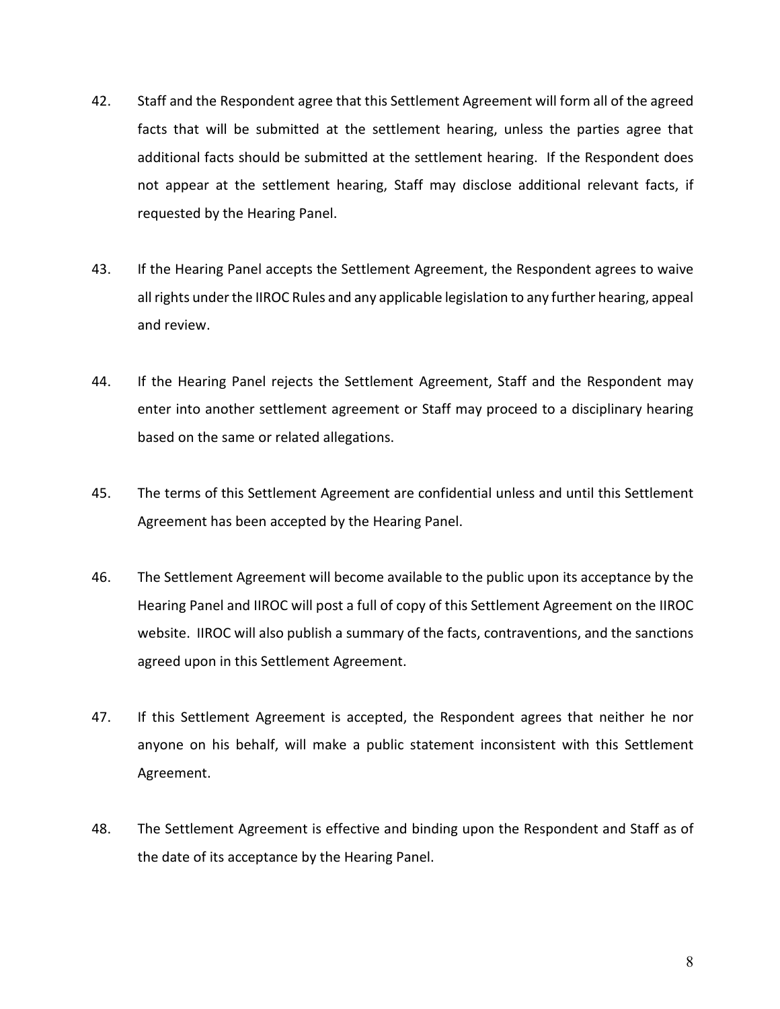- 42. Staff and the Respondent agree that this Settlement Agreement will form all of the agreed facts that will be submitted at the settlement hearing, unless the parties agree that additional facts should be submitted at the settlement hearing. If the Respondent does not appear at the settlement hearing, Staff may disclose additional relevant facts, if requested by the Hearing Panel.
- 43. If the Hearing Panel accepts the Settlement Agreement, the Respondent agrees to waive all rights under the IIROC Rules and any applicable legislation to any further hearing, appeal and review.
- 44. If the Hearing Panel rejects the Settlement Agreement, Staff and the Respondent may enter into another settlement agreement or Staff may proceed to a disciplinary hearing based on the same or related allegations.
- 45. The terms of this Settlement Agreement are confidential unless and until this Settlement Agreement has been accepted by the Hearing Panel.
- 46. The Settlement Agreement will become available to the public upon its acceptance by the Hearing Panel and IIROC will post a full of copy of this Settlement Agreement on the IIROC website. IIROC will also publish a summary of the facts, contraventions, and the sanctions agreed upon in this Settlement Agreement.
- 47. If this Settlement Agreement is accepted, the Respondent agrees that neither he nor anyone on his behalf, will make a public statement inconsistent with this Settlement Agreement.
- 48. The Settlement Agreement is effective and binding upon the Respondent and Staff as of the date of its acceptance by the Hearing Panel.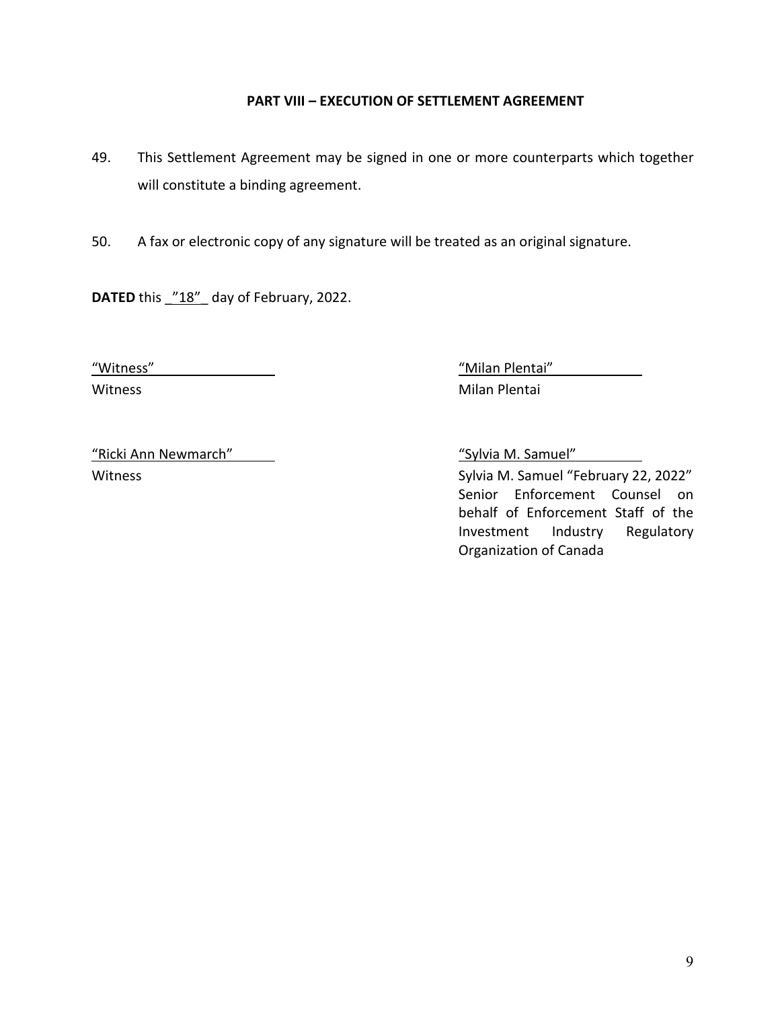# **PART VIII – EXECUTION OF SETTLEMENT AGREEMENT**

- 49. This Settlement Agreement may be signed in one or more counterparts which together will constitute a binding agreement.
- 50. A fax or electronic copy of any signature will be treated as an original signature.

**DATED** this "18" day of February, 2022.

"Witness" "Milan Plentai" Witness **Milan Plentai** 

"Ricki Ann Newmarch" "Sylvia M. Samuel"

Witness **Sylvia M. Samuel "February 22, 2022"** Sylvia M. Samuel "February 22, 2022" Senior Enforcement Counsel on behalf of Enforcement Staff of the Investment Industry Regulatory Organization of Canada